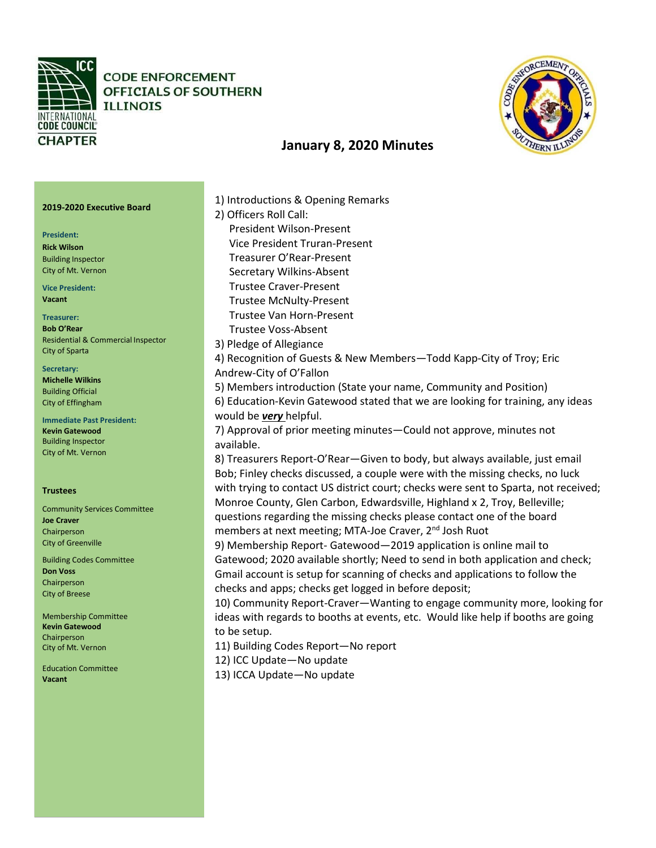

**CODE ENFORCEMENT** OFFICIALS OF SOUTHERN **ILLINOIS** 



# **January 8, 2020 Minutes**

## **2019-2020 Executive Board**

### **President:**

**Rick Wilson** Building Inspector City of Mt. Vernon

**Vice President: Vacant**

**Treasurer: Bob O'Rear** Residential & Commercial Inspector City of Sparta

### **Secretary: Michelle Wilkins**  Building Official City of Effingham

**Immediate Past President: Kevin Gatewood**  Building Inspector City of Mt. Vernon

### **Trustees**

Community Services Committee **Joe Craver** Chairperson City of Greenville

Building Codes Committee **Don Voss** Chairperson City of Breese

Membership Committee **Kevin Gatewood** Chairperson City of Mt. Vernon

Education Committee **Vacant** 

1) Introductions & Opening Remarks 2) Officers Roll Call: President Wilson-Present Vice President Truran-Present Treasurer O'Rear-Present Secretary Wilkins-Absent Trustee Craver-Present Trustee McNulty-Present Trustee Van Horn-Present Trustee Voss-Absent 3) Pledge of Allegiance 4) Recognition of Guests & New Members—Todd Kapp-City of Troy; Eric Andrew-City of O'Fallon 5) Members introduction (State your name, Community and Position) 6) Education-Kevin Gatewood stated that we are looking for training, any ideas would be *very* helpful. 7) Approval of prior meeting minutes—Could not approve, minutes not available. 8) Treasurers Report-O'Rear—Given to body, but always available, just email Bob; Finley checks discussed, a couple were with the missing checks, no luck with trying to contact US district court; checks were sent to Sparta, not received; Monroe County, Glen Carbon, Edwardsville, Highland x 2, Troy, Belleville; questions regarding the missing checks please contact one of the board members at next meeting; MTA-Joe Craver, 2<sup>nd</sup> Josh Ruot 9) Membership Report- Gatewood—2019 application is online mail to Gatewood; 2020 available shortly; Need to send in both application and check; Gmail account is setup for scanning of checks and applications to follow the checks and apps; checks get logged in before deposit; 10) Community Report-Craver—Wanting to engage community more, looking for ideas with regards to booths at events, etc. Would like help if booths are going to be setup. 11) Building Codes Report—No report 12) ICC Update—No update

13) ICCA Update—No update